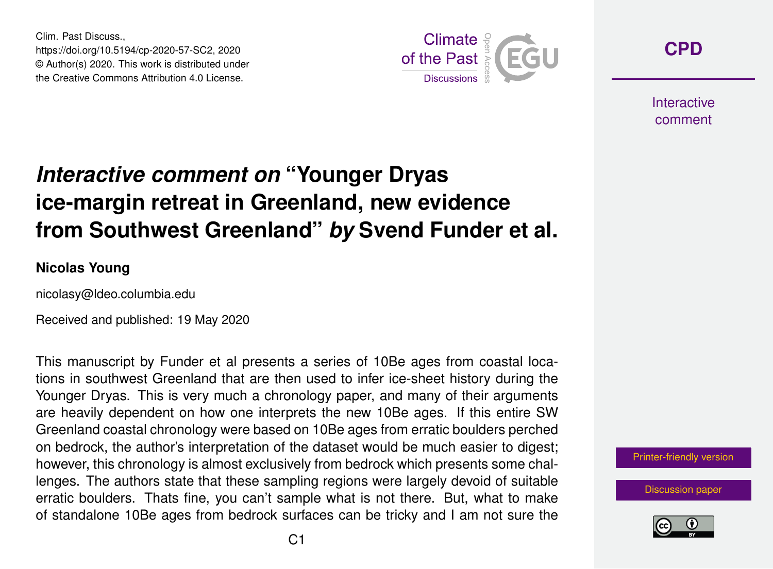Clim. Past Discuss., https://doi.org/10.5194/cp-2020-57-SC2, 2020 © Author(s) 2020. This work is distributed under the Creative Commons Attribution 4.0 License.



**[CPD](https://www.clim-past-discuss.net/)**

**Interactive** comment

# *Interactive comment on* **"Younger Dryas ice-margin retreat in Greenland, new evidence from Southwest Greenland"** *by* **Svend Funder et al.**

#### **Nicolas Young**

nicolasy@ldeo.columbia.edu

Received and published: 19 May 2020

This manuscript by Funder et al presents a series of 10Be ages from coastal locations in southwest Greenland that are then used to infer ice-sheet history during the Younger Dryas. This is very much a chronology paper, and many of their arguments are heavily dependent on how one interprets the new 10Be ages. If this entire SW Greenland coastal chronology were based on 10Be ages from erratic boulders perched on bedrock, the author's interpretation of the dataset would be much easier to digest; however, this chronology is almost exclusively from bedrock which presents some challenges. The authors state that these sampling regions were largely devoid of suitable erratic boulders. Thats fine, you can't sample what is not there. But, what to make of standalone 10Be ages from bedrock surfaces can be tricky and I am not sure the

[Printer-friendly version](https://www.clim-past-discuss.net/cp-2020-57/cp-2020-57-SC2-print.pdf)

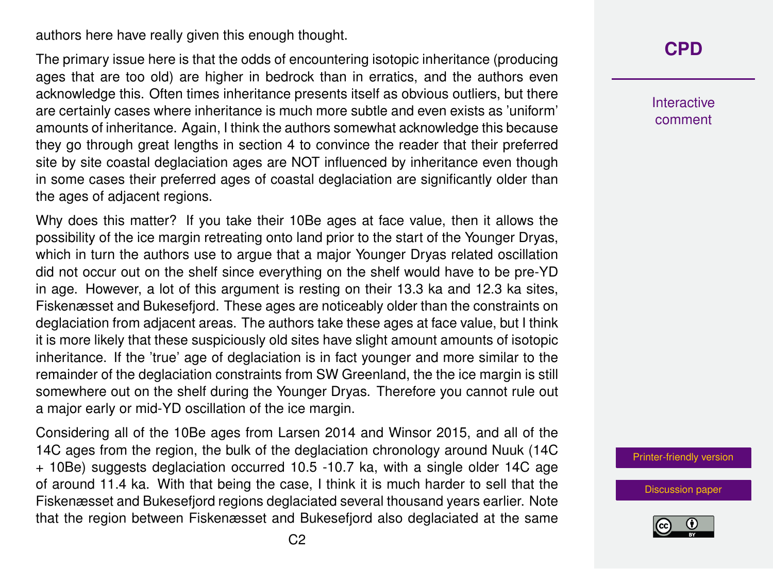authors here have really given this enough thought.

The primary issue here is that the odds of encountering isotopic inheritance (producing ages that are too old) are higher in bedrock than in erratics, and the authors even acknowledge this. Often times inheritance presents itself as obvious outliers, but there are certainly cases where inheritance is much more subtle and even exists as 'uniform' amounts of inheritance. Again, I think the authors somewhat acknowledge this because they go through great lengths in section 4 to convince the reader that their preferred site by site coastal deglaciation ages are NOT influenced by inheritance even though in some cases their preferred ages of coastal deglaciation are significantly older than the ages of adjacent regions.

Why does this matter? If you take their 10Be ages at face value, then it allows the possibility of the ice margin retreating onto land prior to the start of the Younger Dryas, which in turn the authors use to argue that a major Younger Dryas related oscillation did not occur out on the shelf since everything on the shelf would have to be pre-YD in age. However, a lot of this argument is resting on their 13.3 ka and 12.3 ka sites, Fiskenæsset and Bukesefjord. These ages are noticeably older than the constraints on deglaciation from adjacent areas. The authors take these ages at face value, but I think it is more likely that these suspiciously old sites have slight amount amounts of isotopic inheritance. If the 'true' age of deglaciation is in fact younger and more similar to the remainder of the deglaciation constraints from SW Greenland, the the ice margin is still somewhere out on the shelf during the Younger Dryas. Therefore you cannot rule out a major early or mid-YD oscillation of the ice margin.

Considering all of the 10Be ages from Larsen 2014 and Winsor 2015, and all of the 14C ages from the region, the bulk of the deglaciation chronology around Nuuk (14C + 10Be) suggests deglaciation occurred 10.5 -10.7 ka, with a single older 14C age of around 11.4 ka. With that being the case, I think it is much harder to sell that the Fiskenæsset and Bukesefjord regions deglaciated several thousand years earlier. Note that the region between Fiskenæsset and Bukesefjord also deglaciated at the same **[CPD](https://www.clim-past-discuss.net/)**

Interactive comment

[Printer-friendly version](https://www.clim-past-discuss.net/cp-2020-57/cp-2020-57-SC2-print.pdf)

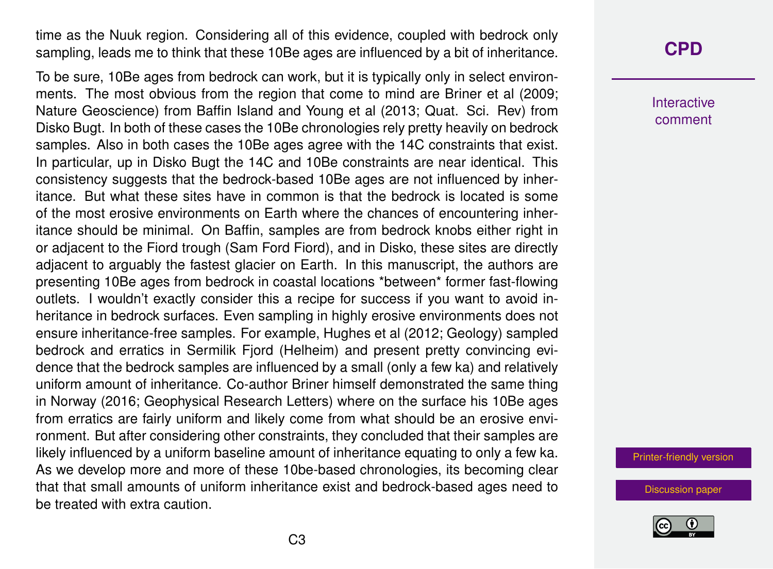time as the Nuuk region. Considering all of this evidence, coupled with bedrock only sampling, leads me to think that these 10Be ages are influenced by a bit of inheritance.

To be sure, 10Be ages from bedrock can work, but it is typically only in select environments. The most obvious from the region that come to mind are Briner et al (2009; Nature Geoscience) from Baffin Island and Young et al (2013; Quat. Sci. Rev) from Disko Bugt. In both of these cases the 10Be chronologies rely pretty heavily on bedrock samples. Also in both cases the 10Be ages agree with the 14C constraints that exist. In particular, up in Disko Bugt the 14C and 10Be constraints are near identical. This consistency suggests that the bedrock-based 10Be ages are not influenced by inheritance. But what these sites have in common is that the bedrock is located is some of the most erosive environments on Earth where the chances of encountering inheritance should be minimal. On Baffin, samples are from bedrock knobs either right in or adjacent to the Fiord trough (Sam Ford Fiord), and in Disko, these sites are directly adjacent to arguably the fastest glacier on Earth. In this manuscript, the authors are presenting 10Be ages from bedrock in coastal locations \*between\* former fast-flowing outlets. I wouldn't exactly consider this a recipe for success if you want to avoid inheritance in bedrock surfaces. Even sampling in highly erosive environments does not ensure inheritance-free samples. For example, Hughes et al (2012; Geology) sampled bedrock and erratics in Sermilik Fjord (Helheim) and present pretty convincing evidence that the bedrock samples are influenced by a small (only a few ka) and relatively uniform amount of inheritance. Co-author Briner himself demonstrated the same thing in Norway (2016; Geophysical Research Letters) where on the surface his 10Be ages from erratics are fairly uniform and likely come from what should be an erosive environment. But after considering other constraints, they concluded that their samples are likely influenced by a uniform baseline amount of inheritance equating to only a few ka. As we develop more and more of these 10be-based chronologies, its becoming clear that that small amounts of uniform inheritance exist and bedrock-based ages need to be treated with extra caution.

### **[CPD](https://www.clim-past-discuss.net/)**

Interactive comment

[Printer-friendly version](https://www.clim-past-discuss.net/cp-2020-57/cp-2020-57-SC2-print.pdf)

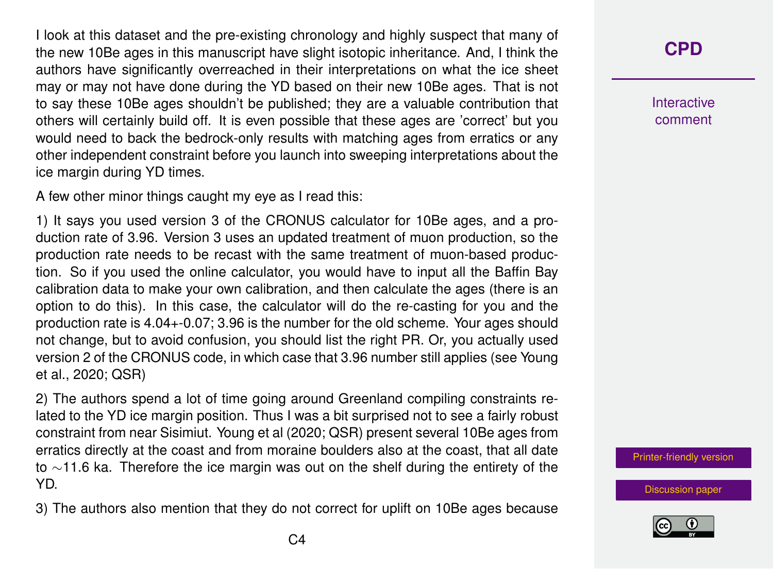I look at this dataset and the pre-existing chronology and highly suspect that many of the new 10Be ages in this manuscript have slight isotopic inheritance. And, I think the authors have significantly overreached in their interpretations on what the ice sheet may or may not have done during the YD based on their new 10Be ages. That is not to say these 10Be ages shouldn't be published; they are a valuable contribution that others will certainly build off. It is even possible that these ages are 'correct' but you would need to back the bedrock-only results with matching ages from erratics or any other independent constraint before you launch into sweeping interpretations about the ice margin during YD times.

A few other minor things caught my eye as I read this:

1) It says you used version 3 of the CRONUS calculator for 10Be ages, and a production rate of 3.96. Version 3 uses an updated treatment of muon production, so the production rate needs to be recast with the same treatment of muon-based production. So if you used the online calculator, you would have to input all the Baffin Bay calibration data to make your own calibration, and then calculate the ages (there is an option to do this). In this case, the calculator will do the re-casting for you and the production rate is 4.04+-0.07; 3.96 is the number for the old scheme. Your ages should not change, but to avoid confusion, you should list the right PR. Or, you actually used version 2 of the CRONUS code, in which case that 3.96 number still applies (see Young et al., 2020; QSR)

2) The authors spend a lot of time going around Greenland compiling constraints related to the YD ice margin position. Thus I was a bit surprised not to see a fairly robust constraint from near Sisimiut. Young et al (2020; QSR) present several 10Be ages from erratics directly at the coast and from moraine boulders also at the coast, that all date to ∼11.6 ka. Therefore the ice margin was out on the shelf during the entirety of the YD.

3) The authors also mention that they do not correct for uplift on 10Be ages because

## **[CPD](https://www.clim-past-discuss.net/)**

Interactive comment

[Printer-friendly version](https://www.clim-past-discuss.net/cp-2020-57/cp-2020-57-SC2-print.pdf)